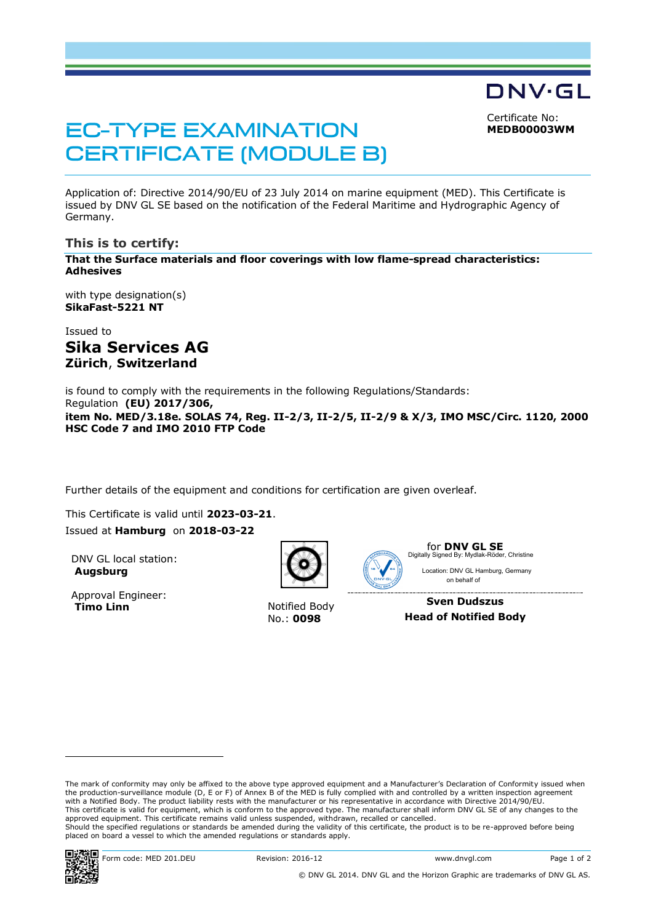Certificate No: **MEDB00003WM**

DNV·GL

# **EC-TYPE EXAMINATION CERTIFICATE (MODULE B)**

Application of: Directive 2014/90/EU of 23 July 2014 on marine equipment (MED). This Certificate is issued by DNV GL SE based on the notification of the Federal Maritime and Hydrographic Agency of Germany.

# **This is to certify:**

**That the Surface materials and floor coverings with low flame-spread characteristics: Adhesives**

with type designation(s) **SikaFast-5221 NT**

Issued to **Sika Services AG Zürich**, **Switzerland**

is found to comply with the requirements in the following Regulations/Standards: Regulation **(EU) 2017/306, item No. MED/3.18e. SOLAS 74, Reg. II-2/3, II-2/5, II-2/9 & X/3, IMO MSC/Circ. 1120, 2000 HSC Code 7 and IMO 2010 FTP Code**

Further details of the equipment and conditions for certification are given overleaf.

This Certificate is valid until **2023-03-21**. Issued at **Hamburg** on **2018-03-22**

DNV GL local station: **Augsburg**

Approval Engineer:<br>Timo Linn



**Notified Body** No.: **0098**



for **DNV GL SE** Location: DNV GL Hamburg, Germany on behalf of Digitally Signed By: Mydlak-Röder, Christine

**Sven Dudszus Head of Notified Body**

ï

 $\overline{a}$ 

The mark of conformity may only be affixed to the above type approved equipment and a Manufacturer's Declaration of Conformity issued when<br>the production-surveillance module (D, E or F) of Annex B of the MED is fully compl with a Notified Body. The product liability rests with the manufacturer or his representative in accordance with Directive 2014/90/EU. This certificate is valid for equipment, which is conform to the approved type. The manufacturer shall inform DNV GL SE of any changes to the<br>approved equipment. This certificate remains valid unless suspended, withdrawn, Should the specified regulations or standards be amended during the validity of this certificate, the product is to be re-approved before being placed on board a vessel to which the amended regulations or standards apply.